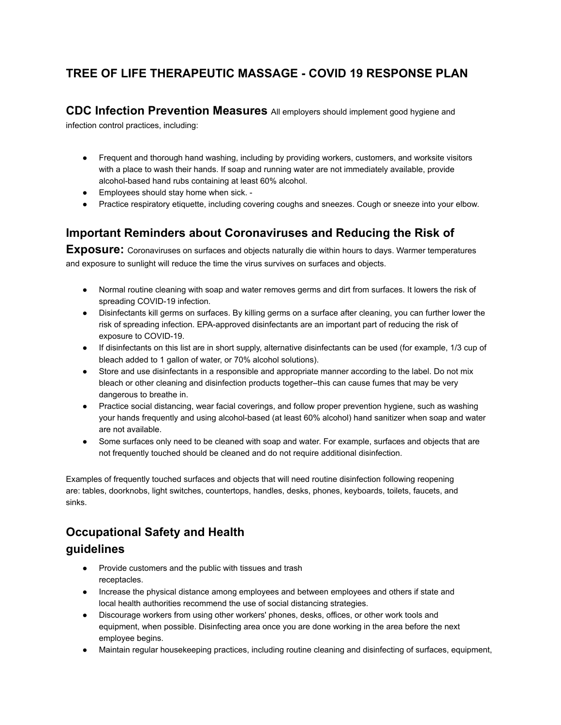# **TREE OF LIFE THERAPEUTIC MASSAGE - COVID 19 RESPONSE PLAN**

**CDC Infection Prevention Measures** All employers should implement good hygiene and

infection control practices, including:

- Frequent and thorough hand washing, including by providing workers, customers, and worksite visitors with a place to wash their hands. If soap and running water are not immediately available, provide alcohol-based hand rubs containing at least 60% alcohol.
- Employees should stay home when sick. -
- Practice respiratory etiquette, including covering coughs and sneezes. Cough or sneeze into your elbow.

### **Important Reminders about Coronaviruses and Reducing the Risk of**

**Exposure:** Coronaviruses on surfaces and objects naturally die within hours to days. Warmer temperatures and exposure to sunlight will reduce the time the virus survives on surfaces and objects.

- Normal routine cleaning with soap and water removes germs and dirt from surfaces. It lowers the risk of spreading COVID-19 infection.
- Disinfectants kill germs on surfaces. By killing germs on a surface after cleaning, you can further lower the risk of spreading infection. EPA-approved disinfectants are an important part of reducing the risk of exposure to COVID-19.
- If disinfectants on this list are in short supply, alternative disinfectants can be used (for example, 1/3 cup of bleach added to 1 gallon of water, or 70% alcohol solutions).
- Store and use disinfectants in a responsible and appropriate manner according to the label. Do not mix bleach or other cleaning and disinfection products together–this can cause fumes that may be very dangerous to breathe in.
- Practice social distancing, wear facial coverings, and follow proper prevention hygiene, such as washing your hands frequently and using alcohol-based (at least 60% alcohol) hand sanitizer when soap and water are not available.
- Some surfaces only need to be cleaned with soap and water. For example, surfaces and objects that are not frequently touched should be cleaned and do not require additional disinfection.

Examples of frequently touched surfaces and objects that will need routine disinfection following reopening are: tables, doorknobs, light switches, countertops, handles, desks, phones, keyboards, toilets, faucets, and sinks.

# **Occupational Safety and Health**

### **guidelines**

- Provide customers and the public with tissues and trash receptacles.
- Increase the physical distance among employees and between employees and others if state and local health authorities recommend the use of social distancing strategies.
- Discourage workers from using other workers' phones, desks, offices, or other work tools and equipment, when possible. Disinfecting area once you are done working in the area before the next employee begins.
- Maintain regular housekeeping practices, including routine cleaning and disinfecting of surfaces, equipment,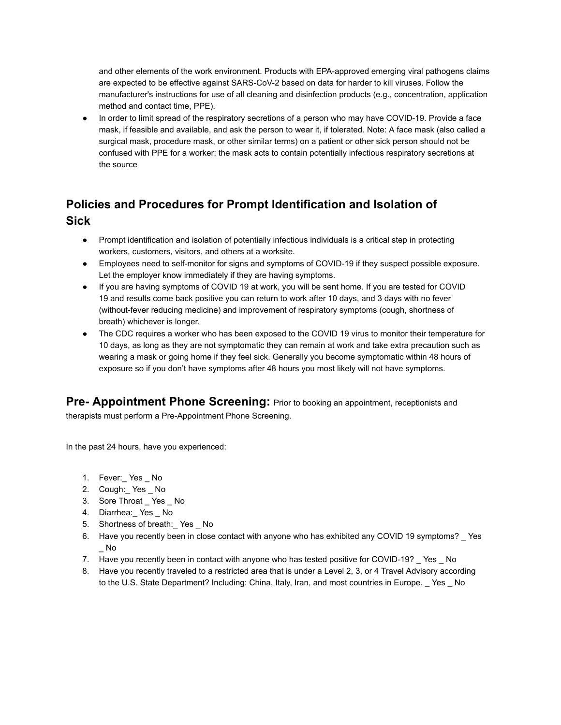and other elements of the work environment. Products with EPA-approved emerging viral pathogens claims are expected to be effective against SARS-CoV-2 based on data for harder to kill viruses. Follow the manufacturer's instructions for use of all cleaning and disinfection products (e.g., concentration, application method and contact time, PPE).

In order to limit spread of the respiratory secretions of a person who may have COVID-19. Provide a face mask, if feasible and available, and ask the person to wear it, if tolerated. Note: A face mask (also called a surgical mask, procedure mask, or other similar terms) on a patient or other sick person should not be confused with PPE for a worker; the mask acts to contain potentially infectious respiratory secretions at the source

# **Policies and Procedures for Prompt Identification and Isolation of Sick**

- Prompt identification and isolation of potentially infectious individuals is a critical step in protecting workers, customers, visitors, and others at a worksite.
- Employees need to self-monitor for signs and symptoms of COVID-19 if they suspect possible exposure. Let the employer know immediately if they are having symptoms.
- If you are having symptoms of COVID 19 at work, you will be sent home. If you are tested for COVID 19 and results come back positive you can return to work after 10 days, and 3 days with no fever (without-fever reducing medicine) and improvement of respiratory symptoms (cough, shortness of breath) whichever is longer.
- The CDC requires a worker who has been exposed to the COVID 19 virus to monitor their temperature for 10 days, as long as they are not symptomatic they can remain at work and take extra precaution such as wearing a mask or going home if they feel sick. Generally you become symptomatic within 48 hours of exposure so if you don't have symptoms after 48 hours you most likely will not have symptoms.

**Pre- Appointment Phone Screening:** Prior to booking an appointment, receptionists and

therapists must perform a Pre-Appointment Phone Screening.

In the past 24 hours, have you experienced:

- 1. Fever:\_ Yes \_ No
- 2. Cough: Yes No
- 3. Sore Throat \_ Yes \_ No
- 4. Diarrhea: Yes \_ No
- 5. Shortness of breath: Yes No
- 6. Have you recently been in close contact with anyone who has exhibited any COVID 19 symptoms? \_ Yes \_ No
- 7. Have you recently been in contact with anyone who has tested positive for COVID-19? \_ Yes \_ No
- 8. Have you recently traveled to a restricted area that is under a Level 2, 3, or 4 Travel Advisory according to the U.S. State Department? Including: China, Italy, Iran, and most countries in Europe. \_ Yes \_ No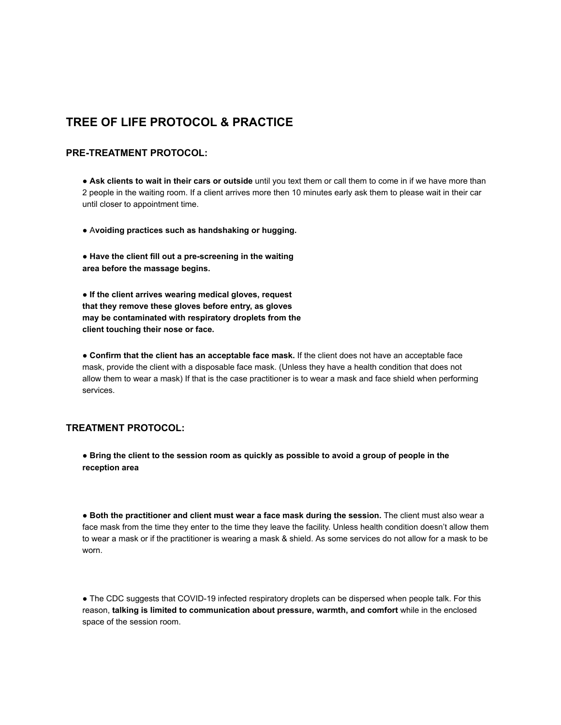### **TREE OF LIFE PROTOCOL & PRACTICE**

#### **PRE-TREATMENT PROTOCOL:**

● **Ask clients to wait in their cars or outside** until you text them or call them to come in if we have more than 2 people in the waiting room. If a client arrives more then 10 minutes early ask them to please wait in their car until closer to appointment time.

● A **voiding practices such as handshaking or hugging.** 

● **Have the client fill out a pre-screening in the waiting area before the massage begins.** 

● **If the client arrives wearing medical gloves, request that they remove these gloves before entry, as gloves may be contaminated with respiratory droplets from the client touching their nose or face.** 

● **Confirm that the client has an acceptable face mask.** If the client does not have an acceptable face mask, provide the client with a disposable face mask. (Unless they have a health condition that does not allow them to wear a mask) If that is the case practitioner is to wear a mask and face shield when performing services.

#### **TREATMENT PROTOCOL:**

● **Bring the client to the session room as quickly as possible to avoid a group of people in the reception area** 

● **Both the practitioner and client must wear a face mask during the session.** The client must also wear a face mask from the time they enter to the time they leave the facility. Unless health condition doesn't allow them to wear a mask or if the practitioner is wearing a mask & shield. As some services do not allow for a mask to be worn.

• The CDC suggests that COVID-19 infected respiratory droplets can be dispersed when people talk. For this reason, **talking is limited to communication about pressure, warmth, and comfort** while in the enclosed space of the session room.